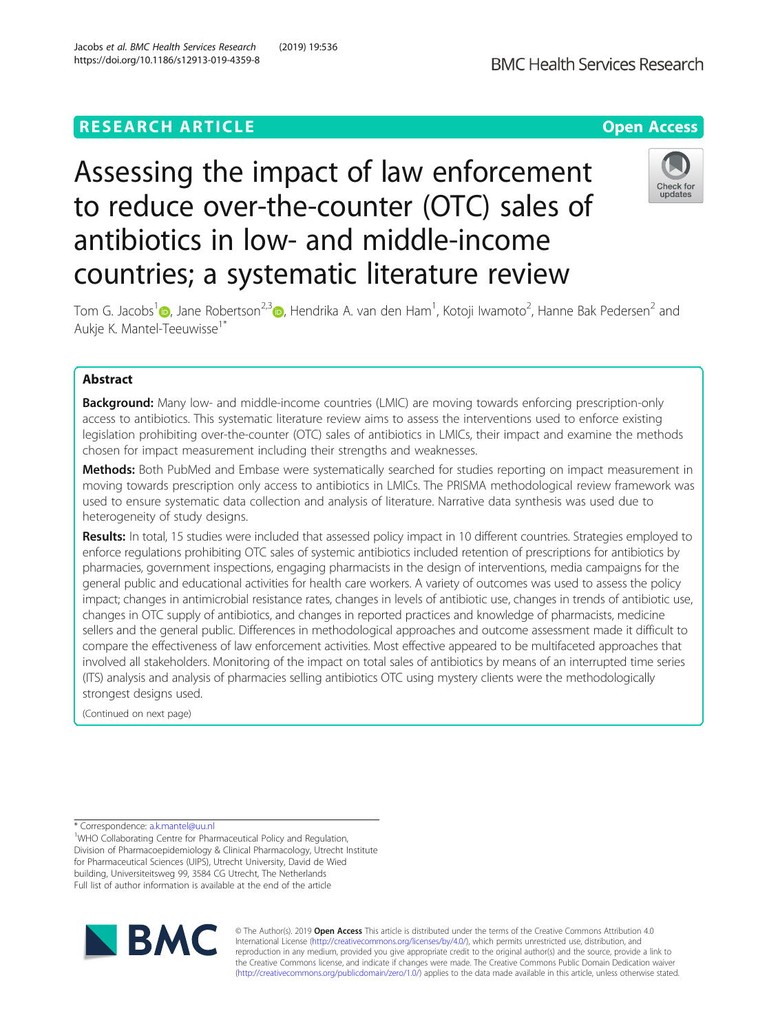# **RESEARCH ARTICLE Example 2018 12:30 THE Open Access**

# Assessing the impact of law enforcement to reduce over-the-counter (OTC) sales of antibiotics in low- and middle-income countries; a systematic literature review

Tom G. Jacobs<sup>1</sup> (D., Jane Robertson<sup>2,3</sup> (D., Hendrika A. van den Ham<sup>1</sup>, Kotoji Iwamoto<sup>2</sup>, Hanne Bak Pedersen<sup>2</sup> and Aukje K. Mantel-Teeuwisse1\*

# Abstract

**Background:** Many low- and middle-income countries (LMIC) are moving towards enforcing prescription-only access to antibiotics. This systematic literature review aims to assess the interventions used to enforce existing legislation prohibiting over-the-counter (OTC) sales of antibiotics in LMICs, their impact and examine the methods chosen for impact measurement including their strengths and weaknesses.

Methods: Both PubMed and Embase were systematically searched for studies reporting on impact measurement in moving towards prescription only access to antibiotics in LMICs. The PRISMA methodological review framework was used to ensure systematic data collection and analysis of literature. Narrative data synthesis was used due to heterogeneity of study designs.

Results: In total, 15 studies were included that assessed policy impact in 10 different countries. Strategies employed to enforce regulations prohibiting OTC sales of systemic antibiotics included retention of prescriptions for antibiotics by pharmacies, government inspections, engaging pharmacists in the design of interventions, media campaigns for the general public and educational activities for health care workers. A variety of outcomes was used to assess the policy impact; changes in antimicrobial resistance rates, changes in levels of antibiotic use, changes in trends of antibiotic use, changes in OTC supply of antibiotics, and changes in reported practices and knowledge of pharmacists, medicine sellers and the general public. Differences in methodological approaches and outcome assessment made it difficult to compare the effectiveness of law enforcement activities. Most effective appeared to be multifaceted approaches that involved all stakeholders. Monitoring of the impact on total sales of antibiotics by means of an interrupted time series (ITS) analysis and analysis of pharmacies selling antibiotics OTC using mystery clients were the methodologically strongest designs used.

(Continued on next page)

\* Correspondence: [a.k.mantel@uu.nl](mailto:a.k.mantel@uu.nl) <sup>1</sup>

WHO Collaborating Centre for Pharmaceutical Policy and Regulation, Division of Pharmacoepidemiology & Clinical Pharmacology, Utrecht Institute for Pharmaceutical Sciences (UIPS), Utrecht University, David de Wied building, Universiteitsweg 99, 3584 CG Utrecht, The Netherlands Full list of author information is available at the end of the article

> © The Author(s). 2019 **Open Access** This article is distributed under the terms of the Creative Commons Attribution 4.0 International License [\(http://creativecommons.org/licenses/by/4.0/](http://creativecommons.org/licenses/by/4.0/)), which permits unrestricted use, distribution, and reproduction in any medium, provided you give appropriate credit to the original author(s) and the source, provide a link to the Creative Commons license, and indicate if changes were made. The Creative Commons Public Domain Dedication waiver [\(http://creativecommons.org/publicdomain/zero/1.0/](http://creativecommons.org/publicdomain/zero/1.0/)) applies to the data made available in this article, unless otherwise stated.





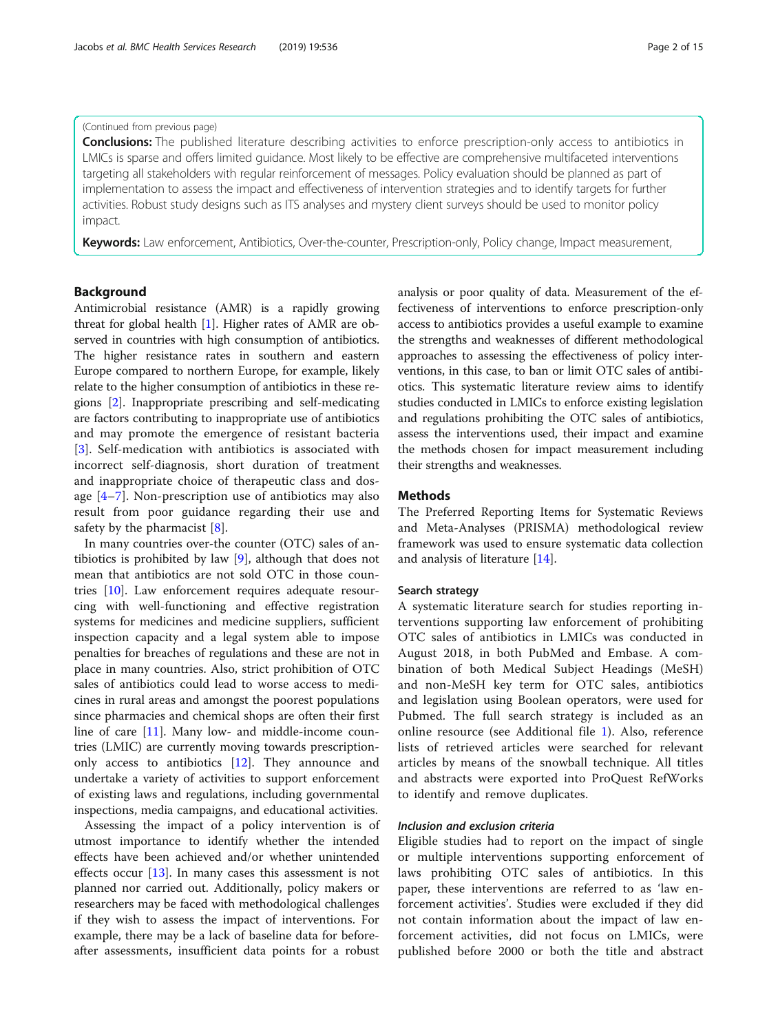# (Continued from previous page)

**Conclusions:** The published literature describing activities to enforce prescription-only access to antibiotics in LMICs is sparse and offers limited guidance. Most likely to be effective are comprehensive multifaceted interventions targeting all stakeholders with regular reinforcement of messages. Policy evaluation should be planned as part of implementation to assess the impact and effectiveness of intervention strategies and to identify targets for further activities. Robust study designs such as ITS analyses and mystery client surveys should be used to monitor policy impact.

Keywords: Law enforcement, Antibiotics, Over-the-counter, Prescription-only, Policy change, Impact measurement,

# Background

Antimicrobial resistance (AMR) is a rapidly growing threat for global health  $[1]$  $[1]$ . Higher rates of AMR are observed in countries with high consumption of antibiotics. The higher resistance rates in southern and eastern Europe compared to northern Europe, for example, likely relate to the higher consumption of antibiotics in these regions [[2\]](#page-13-0). Inappropriate prescribing and self-medicating are factors contributing to inappropriate use of antibiotics and may promote the emergence of resistant bacteria [[3\]](#page-13-0). Self-medication with antibiotics is associated with incorrect self-diagnosis, short duration of treatment and inappropriate choice of therapeutic class and dosage [\[4](#page-13-0)–[7](#page-13-0)]. Non-prescription use of antibiotics may also result from poor guidance regarding their use and safety by the pharmacist [\[8](#page-14-0)].

In many countries over-the counter (OTC) sales of antibiotics is prohibited by law [[9\]](#page-14-0), although that does not mean that antibiotics are not sold OTC in those countries [[10](#page-14-0)]. Law enforcement requires adequate resourcing with well-functioning and effective registration systems for medicines and medicine suppliers, sufficient inspection capacity and a legal system able to impose penalties for breaches of regulations and these are not in place in many countries. Also, strict prohibition of OTC sales of antibiotics could lead to worse access to medicines in rural areas and amongst the poorest populations since pharmacies and chemical shops are often their first line of care [\[11](#page-14-0)]. Many low- and middle-income countries (LMIC) are currently moving towards prescriptiononly access to antibiotics [[12\]](#page-14-0). They announce and undertake a variety of activities to support enforcement of existing laws and regulations, including governmental inspections, media campaigns, and educational activities.

Assessing the impact of a policy intervention is of utmost importance to identify whether the intended effects have been achieved and/or whether unintended effects occur [[13](#page-14-0)]. In many cases this assessment is not planned nor carried out. Additionally, policy makers or researchers may be faced with methodological challenges if they wish to assess the impact of interventions. For example, there may be a lack of baseline data for beforeafter assessments, insufficient data points for a robust

analysis or poor quality of data. Measurement of the effectiveness of interventions to enforce prescription-only access to antibiotics provides a useful example to examine the strengths and weaknesses of different methodological approaches to assessing the effectiveness of policy interventions, in this case, to ban or limit OTC sales of antibiotics. This systematic literature review aims to identify studies conducted in LMICs to enforce existing legislation and regulations prohibiting the OTC sales of antibiotics, assess the interventions used, their impact and examine the methods chosen for impact measurement including their strengths and weaknesses.

#### Methods

The Preferred Reporting Items for Systematic Reviews and Meta-Analyses (PRISMA) methodological review framework was used to ensure systematic data collection and analysis of literature [\[14](#page-14-0)].

#### Search strategy

A systematic literature search for studies reporting interventions supporting law enforcement of prohibiting OTC sales of antibiotics in LMICs was conducted in August 2018, in both PubMed and Embase. A combination of both Medical Subject Headings (MeSH) and non-MeSH key term for OTC sales, antibiotics and legislation using Boolean operators, were used for Pubmed. The full search strategy is included as an online resource (see Additional file [1](#page-13-0)). Also, reference lists of retrieved articles were searched for relevant articles by means of the snowball technique. All titles and abstracts were exported into ProQuest RefWorks to identify and remove duplicates.

# Inclusion and exclusion criteria

Eligible studies had to report on the impact of single or multiple interventions supporting enforcement of laws prohibiting OTC sales of antibiotics. In this paper, these interventions are referred to as 'law enforcement activities'. Studies were excluded if they did not contain information about the impact of law enforcement activities, did not focus on LMICs, were published before 2000 or both the title and abstract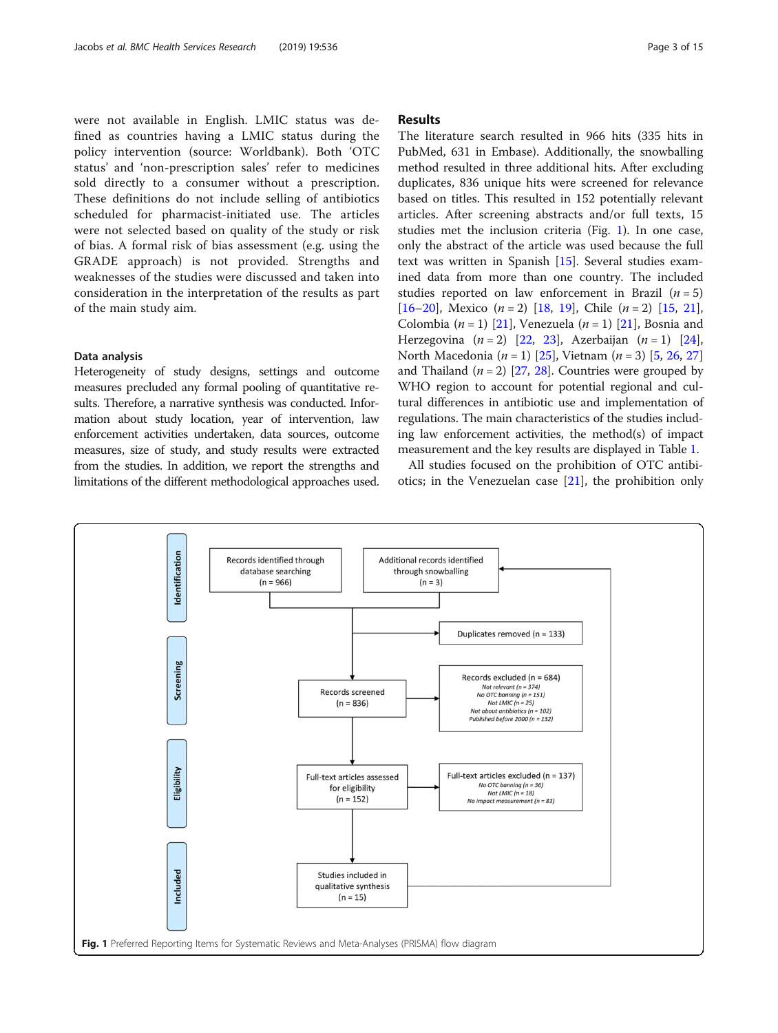were not available in English. LMIC status was defined as countries having a LMIC status during the policy intervention (source: Worldbank). Both 'OTC status' and 'non-prescription sales' refer to medicines sold directly to a consumer without a prescription. These definitions do not include selling of antibiotics scheduled for pharmacist-initiated use. The articles were not selected based on quality of the study or risk of bias. A formal risk of bias assessment (e.g. using the GRADE approach) is not provided. Strengths and weaknesses of the studies were discussed and taken into consideration in the interpretation of the results as part of the main study aim.

#### Data analysis

Heterogeneity of study designs, settings and outcome measures precluded any formal pooling of quantitative results. Therefore, a narrative synthesis was conducted. Information about study location, year of intervention, law enforcement activities undertaken, data sources, outcome measures, size of study, and study results were extracted from the studies. In addition, we report the strengths and limitations of the different methodological approaches used.

# Results

The literature search resulted in 966 hits (335 hits in PubMed, 631 in Embase). Additionally, the snowballing method resulted in three additional hits. After excluding duplicates, 836 unique hits were screened for relevance based on titles. This resulted in 152 potentially relevant articles. After screening abstracts and/or full texts, 15 studies met the inclusion criteria (Fig. 1). In one case, only the abstract of the article was used because the full text was written in Spanish [\[15](#page-14-0)]. Several studies examined data from more than one country. The included studies reported on law enforcement in Brazil  $(n = 5)$ [[16](#page-14-0)–[20](#page-14-0)], Mexico  $(n = 2)$  [[18](#page-14-0), [19\]](#page-14-0), Chile  $(n = 2)$  [\[15,](#page-14-0) [21](#page-14-0)], Colombia  $(n = 1)$  [[21\]](#page-14-0), Venezuela  $(n = 1)$  [\[21\]](#page-14-0), Bosnia and Herzegovina  $(n = 2)$  [[22,](#page-14-0) [23\]](#page-14-0), Azerbaijan  $(n = 1)$  [\[24](#page-14-0)], North Macedonia ( $n = 1$ ) [[25\]](#page-14-0), Vietnam ( $n = 3$ ) [[5](#page-13-0), [26](#page-14-0), [27](#page-14-0)] and Thailand  $(n = 2)$  [\[27,](#page-14-0) [28\]](#page-14-0). Countries were grouped by WHO region to account for potential regional and cultural differences in antibiotic use and implementation of regulations. The main characteristics of the studies including law enforcement activities, the method(s) of impact measurement and the key results are displayed in Table [1](#page-3-0).

All studies focused on the prohibition of OTC antibiotics; in the Venezuelan case  $[21]$  $[21]$ , the prohibition only

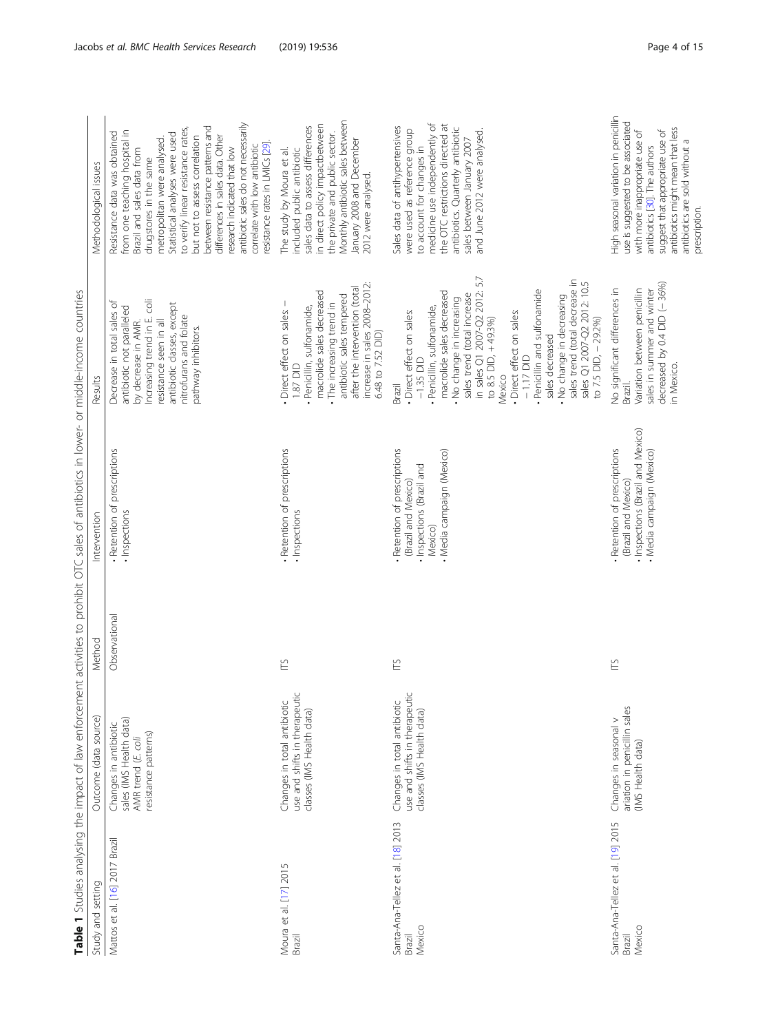<span id="page-3-0"></span>

|                                                       |                                                                                                |               | Table 1 Studies analysing the impact of law enforcement activities to prohibit OTC sales of antibiotics in lower- or middle-income countries |                                                                                                                                                                                                                                                                                                                                                                                                                                                            |                                                                                                                                                                                                                                                                                                                                                                                                                                                                                |
|-------------------------------------------------------|------------------------------------------------------------------------------------------------|---------------|----------------------------------------------------------------------------------------------------------------------------------------------|------------------------------------------------------------------------------------------------------------------------------------------------------------------------------------------------------------------------------------------------------------------------------------------------------------------------------------------------------------------------------------------------------------------------------------------------------------|--------------------------------------------------------------------------------------------------------------------------------------------------------------------------------------------------------------------------------------------------------------------------------------------------------------------------------------------------------------------------------------------------------------------------------------------------------------------------------|
| Study and setting                                     | Outcome (data source)                                                                          | Method        | Interventior                                                                                                                                 | Results                                                                                                                                                                                                                                                                                                                                                                                                                                                    | Methodological issues                                                                                                                                                                                                                                                                                                                                                                                                                                                          |
| Mattos et al. [16] 2017 Brazil                        | sales (IMS Health data)<br>Changes in antibiotic<br>resistance patterns)<br>AMR trend (E. coli | Observational | . Retention of prescriptions<br>· Inspections                                                                                                | Increasing trend in E. coli<br>ত<br>antibiotic classes, except<br>antibiotic not paralleled<br>Decrease in total sales<br>nitrofurans and folate<br>resistance seen in all<br>by decrease in AMR.<br>pathway inhibitors.                                                                                                                                                                                                                                   | antibiotic sales do not necessarily<br>between resistance patterns and<br>to verify linear resistance rates,<br>from one teaching hospital in<br>Resistance data was obtained<br>Statistical analyses were used<br>but not to assess correlation<br>differences in sales data. Other<br>metropolitan were analysed.<br>resistance rates in LMICs [29].<br>correlate with low antibiotic<br>research indicated that low<br>Brazil and sales data from<br>drugstores in the same |
| Moura et al. [17] 2015<br>Brazil                      | use and shifts in therapeutic<br>Changes in total antibiotic<br>classes (IMS Health data)      | Ě             | . Retention of prescriptions<br>· Inspections                                                                                                | increase in sales 2008-2012:<br>after the intervention (total<br>macrolide sales decreased<br>antibiotic sales tempered<br>. The increasing trend in<br>Direct effect on sales: -<br>· Penicillin, sulfonamide,<br>6.48 to 7.52 DID)<br>$1.87$ DID                                                                                                                                                                                                         | Monthly antibiotic sales between<br>in direct policy impactbetween<br>sales data to assess differences<br>the private and public sector.<br>January 2008 and December<br>included public antibiotic<br>The study by Moura et al.<br>2012 were analysed.                                                                                                                                                                                                                        |
| Santa-Ana-Tellez et al. [18] 2013<br>Mexico<br>Brazil | use and shifts in therapeutic<br>Changes in total antibiotic<br>classes (IMS Health data)      | Ě             | Retention of prescriptions<br>• Media campaign (Mexico)<br>· Inspections (Brazil and<br>(Brazil and Mexico)<br>Mexico)                       | in sales Q1 2007-Q2 2012: 5.7<br>sales trend (total decrease in<br>sales Q1 2007-Q2 2012: 10.5<br>Penicillin and sulfonamide<br>macrolide sales decreased<br>sales trend (total increase<br>. No change in decreasing<br>No change in increasing<br>Penicillin, sulfonamide,<br>· Direct effect on sales:<br>· Direct effect on sales:<br>to 7.5 DID, - 29.2%)<br>to 8.5 DID, +49.3%)<br>sales decreased<br>$-1.17$ DID<br>$-1.35$ DID<br>Mexico<br>Brazil | medicine use independently of<br>the OTC restrictions directed at<br>Sales data of antihypertensives<br>antibiotics. Quarterly antibiotic<br>were used as reference group<br>and June 2012 were analysed.<br>sales between January 2007<br>to account for changes in                                                                                                                                                                                                           |
| Santa-Ana-Tellez et al. [19] 2015<br>Mexico<br>Brazil | ariation in penicillin sales<br>Changes in seasonal v<br>(IMS Health data)                     | Ě             | . Inspections (Brazil and Mexico)<br>- Retention of prescriptions<br>• Media campaign (Mexico)<br>(Brazil and Mexico)                        | decreased by 0.4 DID (-36%)<br>No significant differences in<br>Variation between penicillin<br>sales in summer and winter<br>in Mexico.<br>Brazil.                                                                                                                                                                                                                                                                                                        | High seasonal variation in penicillin<br>use is suggested to be associated<br>antibiotics might mean that less<br>suggest that appropriate use of<br>with more inappropriate use of<br>antibiotics are sold without a<br>antibiotics [30]. The authors<br>prescription.                                                                                                                                                                                                        |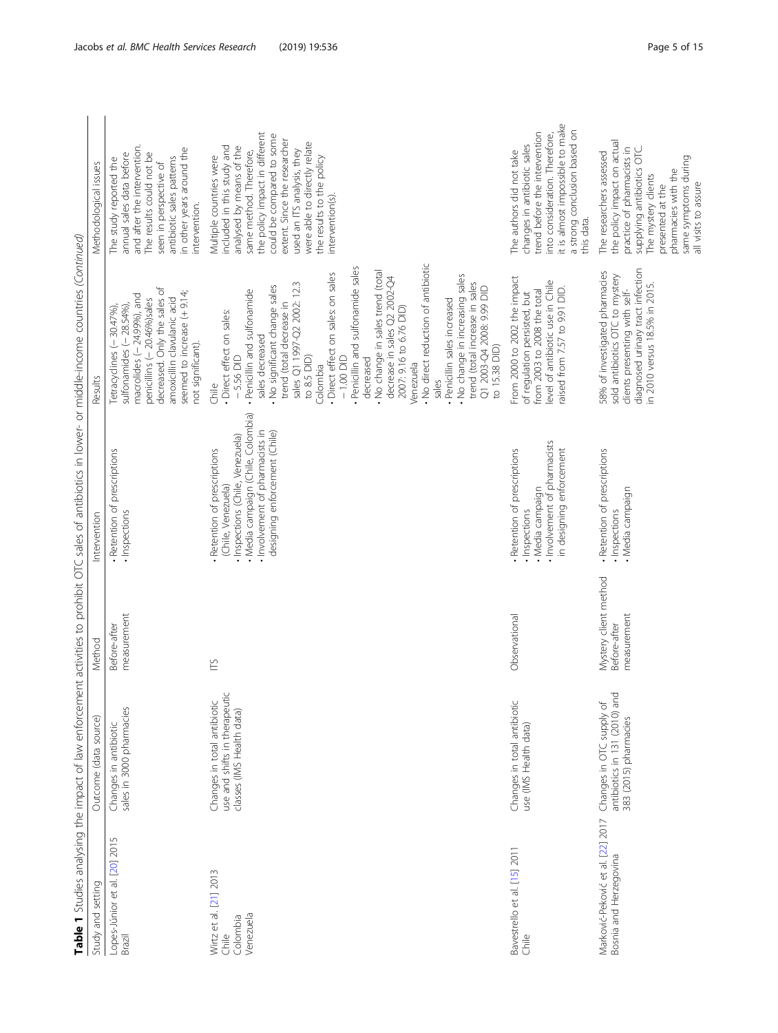|                                                             |                                                                                           |                                                      | Table 1 Studies analysing the impact of law enforcement activities to prohibit OTC sales of antibiotics in lower- or middle-income countries (Continued)                                       |                                                                                                                                                                                                                                                                                                                                                                                                                                                                                                                                                                                                                                                 |                                                                                                                                                                                                                                                                                                                            |
|-------------------------------------------------------------|-------------------------------------------------------------------------------------------|------------------------------------------------------|------------------------------------------------------------------------------------------------------------------------------------------------------------------------------------------------|-------------------------------------------------------------------------------------------------------------------------------------------------------------------------------------------------------------------------------------------------------------------------------------------------------------------------------------------------------------------------------------------------------------------------------------------------------------------------------------------------------------------------------------------------------------------------------------------------------------------------------------------------|----------------------------------------------------------------------------------------------------------------------------------------------------------------------------------------------------------------------------------------------------------------------------------------------------------------------------|
| Study and setting                                           | Outcome (data source)                                                                     | Method                                               | Intervention                                                                                                                                                                                   | Results                                                                                                                                                                                                                                                                                                                                                                                                                                                                                                                                                                                                                                         | Methodological issues                                                                                                                                                                                                                                                                                                      |
| Lopes-Júnior et al. [20] 2015<br>Brazil                     | sales in 3000 pharmacies<br>Changes in antibiotic                                         | measurement<br>Before-after                          | - Retention of prescriptions<br>· Inspections                                                                                                                                                  | decreased. Only the sales of<br>seemed to increase (+9.14;<br>macrolides $(-24.99%)$ , and<br>penicillins (- 20.46%)sales<br>amoxicillin clavulanic acid<br>sulfonamides $(-28.54\%)$<br>Tetracyclines (-30.47%)<br>not significant).                                                                                                                                                                                                                                                                                                                                                                                                           | and after the intervention.<br>in other years around the<br>annual sales data before<br>The results could not be<br>antibiotic sales patterns<br>The study reported the<br>seen in perspective of<br>intervention.                                                                                                         |
| Wirtz et al. [21] 2013<br>Venezuela<br>Colombia<br>Chile    | use and shifts in therapeutic<br>Changes in total antibiotic<br>classes (IMS Health data) | Е                                                    | · Media campaign (Chile, Colombia)<br>. Involvement of pharmacists in<br>designing enforcement (Chile)<br>· Inspections (Chile, Venezuela)<br>Retention of prescriptions<br>(Chile, Venezuela) | - No direct reduction of antibiotic<br>. Penicillin and sulfonamide sales<br>. No change in sales trend (total<br>· Direct effect on sales: on sales<br>. No change in increasing sales<br>decrease in sales Q2 2002-Q4<br>sales Q1 1997-Q2 2002: 12.3<br>trend (total increase in sales<br>No significant change sales<br>Q1 2003-Q4 2008: 9.99 DID<br>· Penicillin and sulfonamide<br>Penicillin sales increased<br>trend (total decrease in<br>2007: 9.16 to 6.76 DID)<br>· Direct effect on sales:<br>sales decreased<br>to 15.38 DID)<br>to 8.5 DID)<br>$-5.56$ DID<br>$-1.00$ DID<br>decreased<br>Venezuela<br>Colombia<br>sales<br>Chile | the policy impact in different<br>could be compared to some<br>extent. Since the researcher<br>were able to directly relate<br>included in this study and<br>analysed by means of the<br>used an ITS analysis, they<br>same method. Therefore,<br>Multiple countries were<br>the results to the policy<br>intervention(s). |
| Bavestrello et al. [15] 2011<br>Chile                       | Changes in total antibiotic<br>use (IMS Health data)                                      | Observational                                        | . Involvement of pharmacists<br>in designing enforcement<br>Retention of prescriptions<br>. Media campaign<br>· Inspections                                                                    | From 2000 to 2002 the impact<br>level of antibiotic use in Chile<br>raised from 7.57 to 9.91 DID.<br>from 2003 to 2008 the total<br>of regulation persisted, but                                                                                                                                                                                                                                                                                                                                                                                                                                                                                | it is almost impossible to make<br>a strong conclusion based on<br>trend before the intervention<br>into consideration. Therefore,<br>changes in antibiotic sales<br>The authors did not take<br>this data.                                                                                                                |
| Marković-Peković et al. [22] 2017<br>Bosnia and Herzegovina | antibiotics in 131 (2010) and<br>Changes in OTC supply of<br>383 (2015) pharmacies        | Mystery client method<br>measurement<br>Before-after | - Retention of prescriptions<br>. Media campaign<br>· Inspections                                                                                                                              | diagnosed urinary tract infection<br>58% of investigated pharmacies<br>sold antibiotics OTC to mystery<br>in 2010 versus 18.5% in 2015.<br>clients presenting with self-                                                                                                                                                                                                                                                                                                                                                                                                                                                                        | the policy impact on actual<br>practice of pharmacists in<br>supplying antibiotics OTC.<br>The researchers assessed<br>same symptoms during<br>pharmacies with the<br>The mystery clients<br>all visits to assure<br>presented at the                                                                                      |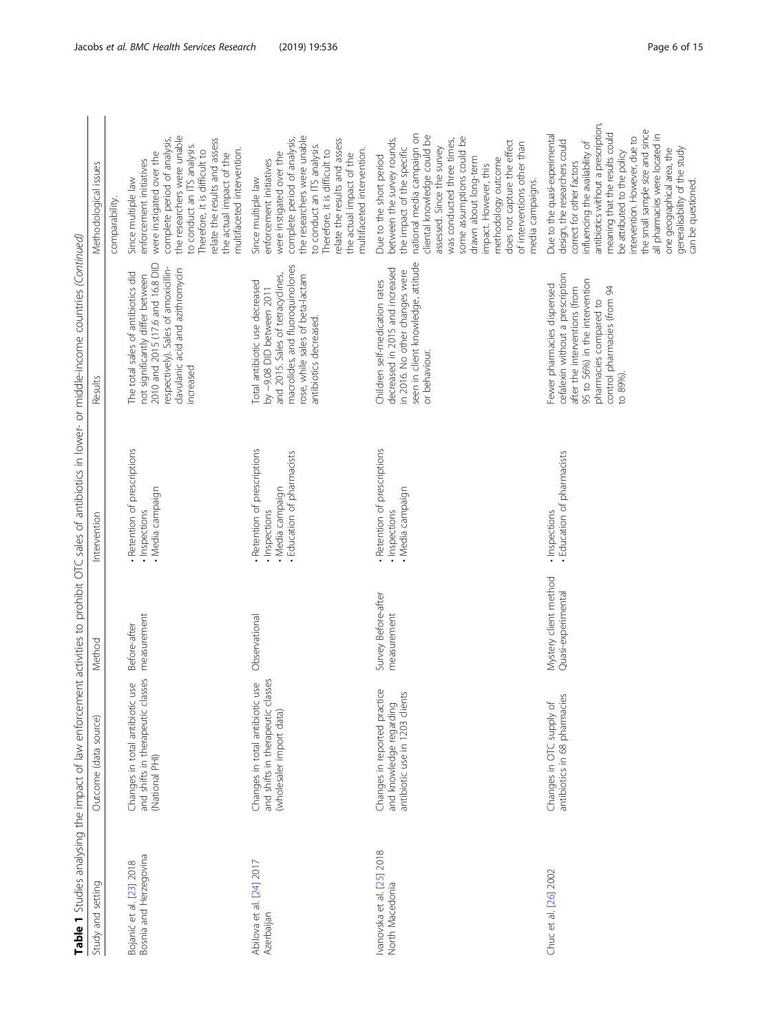| Study and setting                                  | Outcome (data source)                                                                            | Method                                      | Intervention                                                                                  | Table 1 Studies analysing the impact of law enforcement activities to prohibit OTC sales of antibiotics in lower- or middle-income countries (Continued)<br>Results                                   | Methodological issues                                                                                                                                                                                                                                                                                                                                                                                                             |
|----------------------------------------------------|--------------------------------------------------------------------------------------------------|---------------------------------------------|-----------------------------------------------------------------------------------------------|-------------------------------------------------------------------------------------------------------------------------------------------------------------------------------------------------------|-----------------------------------------------------------------------------------------------------------------------------------------------------------------------------------------------------------------------------------------------------------------------------------------------------------------------------------------------------------------------------------------------------------------------------------|
|                                                    |                                                                                                  |                                             |                                                                                               |                                                                                                                                                                                                       | comparability                                                                                                                                                                                                                                                                                                                                                                                                                     |
| Bosnia and Herzegovina<br>Bojanić et al. [23] 2018 | and shifts in therapeutic classes<br>use<br>Changes in total antibiotic<br>(National PHI)        | measurement<br>Before-after                 | · Retention of prescriptions<br>. Media campaign<br>· Inspections                             | 2010 and 2015 (17.6 and 16.8 DID<br>respectively). Sales of amoxicillin-<br>clavulanic acid and azithromycin<br>The total sales of antibiotics did<br>not significantly differ between<br>increased   | the researchers were unable<br>complete period of analysis,<br>relate the results and assess<br>to conduct an ITS analysis.<br>multifaceted intervention.<br>Therefore, it is difficult to<br>were instigated over the<br>the actual impact of the<br>enforcement initiatives<br>Since multiple law                                                                                                                               |
| Abilova et al. [24] 2017<br>Azerbaijan             | and shifts in therapeutic classes<br>Changes in total antibiotic use<br>(wholesaler import data) | Observational                               | Retention of prescriptions<br>- Education of pharmacists<br>. Media campaign<br>· Inspections | macrolides, and fluoroquinolones<br>and 2015. Sales of tetracyclines,<br>rose, while sales of beta-lactam<br>Total antibiotic use decreased<br>by -9.08 DID between 2011<br>antibiotics decreased.    | the researchers were unable<br>complete period of analysis,<br>relate the results and assess<br>to conduct an ITS analysis.<br>multifaceted intervention.<br>Therefore, it is difficult to<br>were instigated over the<br>the actual impact of the<br>enforcement initiatives<br>Since multiple law                                                                                                                               |
| vanovska et al. [25] 2018<br>North Macedonia       | Changes in reported practice<br>and knowledge regarding<br>antibiotic use in 1203 clients        | Survey Before-after<br>measurement          | - Retention of prescriptions<br>. Media campaign<br>· Inspections                             | seen in client knowledge, attitude<br>decreased in 2015 and increased<br>in 2016. No other changes were<br>Children self-medication rates<br>or behaviour.                                            | national media campaign on<br>cliental knowledge could be<br>some assumptions could be<br>between the survey rounds,<br>was conducted three times,<br>does not capture the effect<br>of interventions other than<br>assessed. Since the survey<br>the impact of the specific<br>Due to the short period<br>drawn about long-term<br>methodology outcome<br>impact. However, this<br>media campaigns.                              |
| Chuc et al. [26] 2002                              | antibiotics in 68 pharmacies<br>Changes in OTC supply of                                         | Mystery client method<br>Quasi-experimental | · Education of pharmacists<br>· Inspections                                                   | cefalexin without a prescription<br>95 to 56%) in the intervention<br>Fewer pharmacies dispensed<br>control pharmacies (from 94<br>after the interventions (from<br>pharmacies compared to<br>to 89%) | antibiotics without a prescription,<br>the small sample size and since<br>meaning that the results could<br>be attributed to the policy<br>all pharmacies were located in<br>Due to the quasi-experimental<br>intervention. However, due to<br>design, the researchers could<br>influencing the availability of<br>generalisability of the study<br>one geographical area, the<br>correct for other factors<br>can be questioned. |

 $\zeta$  $\sum_{i=1}^{n}$  $rac{6}{3}$  $\overline{a}$ تي<br>ب ،<br>ب  $\frac{1}{2}$  $\sqrt{16}$ ة:<br>أما: نې<br>ب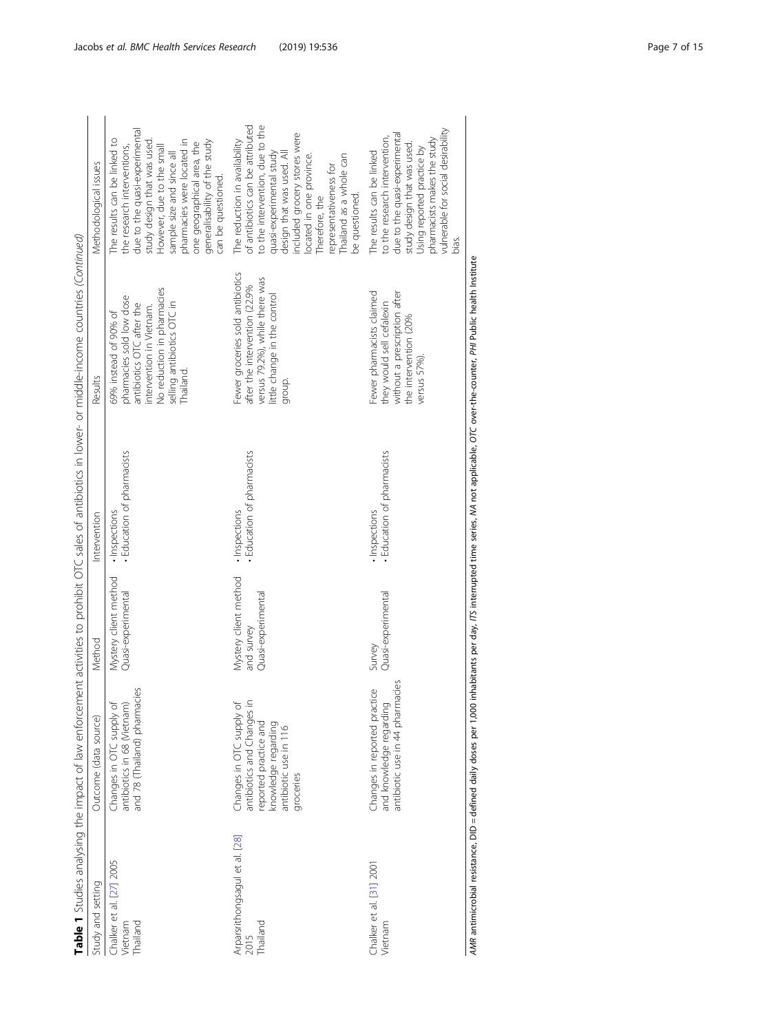|                                                       |                                                                                                                                           |                                                           |                                             | Table 1 Studies analysing the impact of law enforcement activities to prohibit OTC sales of antibiotics in lower- or middle-income countries (Continued)                            |                                                                                                                                                                                                                                                                                                          |
|-------------------------------------------------------|-------------------------------------------------------------------------------------------------------------------------------------------|-----------------------------------------------------------|---------------------------------------------|-------------------------------------------------------------------------------------------------------------------------------------------------------------------------------------|----------------------------------------------------------------------------------------------------------------------------------------------------------------------------------------------------------------------------------------------------------------------------------------------------------|
| Study and setting                                     | Outcome (data source)                                                                                                                     | Method                                                    | Intervention                                | Results                                                                                                                                                                             | Methodological issues                                                                                                                                                                                                                                                                                    |
| Chalker et al. [27] 2005<br>hailand<br><b>Vietnam</b> | jes<br>antibiotics in 68 (Vietnam)<br>and 78 (Thailand) pharmaci<br>Changes in OTC supply of                                              | Mystery client method<br>Quasi-experimental               | · Education of pharmacists<br>· Inspections | No reduction in pharmacies<br>pharmacies sold low dose<br>selling antibiotics OTC in<br>antibiotics OTC after the<br>intervention in Vietnam.<br>69% instead of 90% of<br>Thailand. | due to the quasi-experimental<br>study design that was used.<br>The results can be linked to<br>pharmacies were located in<br>generalisability of the study<br>one geographical area, the<br>the research interventions,<br>However, due to the small<br>sample size and since all<br>can be questioned. |
| Arparsrithongsagul et al. [28]<br>hailand<br>2015     | ntibiotics and Changes in<br>Thanges in OTC supply of<br>eported practice and<br>mowledge regarding<br>antibiotic use in 116<br>groceries | Mystery client method<br>Quasi-experimental<br>and survey | Education of pharmacists<br>· Inspections   | Fewer groceries sold antibiotics<br>versus 79.2%), while there was<br>after the intervention (22.9%<br>ittle change in the control<br>group.                                        | of antibiotics can be attributed<br>to the intervention, due to the<br>included grocery stores were<br>The reduction in availability<br>quasi-experimental study<br>design that was used. All<br>located in one province.<br>Thailand as a whole can<br>representativeness for<br>Therefore, the         |

AMR antimicrobial resistance, DID = defined dally doses per 1,000 inhabitants per day, ITS interrupted time series, MA not applicable, OTC over-the-counter, PHI Public health Institute AMR antimicrobial resistance, DID = defined daily doses per 1,000 inhabitants per day, ITS interrupted time series, NA not applicable, OTC over-the-counter, PHI Public health Institute

Chalker et al. [\[31\]](#page-14-0) 2001 Chalker et al. [31] 2001<br>Vietnam

Changes in reported practice and knowledge regarding antibiotic use in 44 pharmacies

Changes in reported practice<br>and knowledge regarding<br>antibiotic use in 44 pharmacies

Survey<br>Quasi-experimental Quasi-experimental

• Inspections Inspections

Fewer pharmacists claimed they would sell cefalexin without a prescription after the intervention (20% versus 57%).

Fewer pharmacists claimed

they would sell cefalexin<br>without a prescription after<br>the intervention (20%<br>versus 57%).

The results can be linked to the research intervention, due to the quasi-experimental study design that was used. Using reported practice by pharmacists makes the study vulnerable for social desirability to the research intervention,<br>due to the quasi-experimental<br>study design that was used.<br>Using reported practice by<br>pharmacists makes the study<br>vulnerable for social desirability<br>bias.

The results can be linked

• Education of pharmacists Education of pharmacists

Thailand as a whole can be questioned.

be questioned.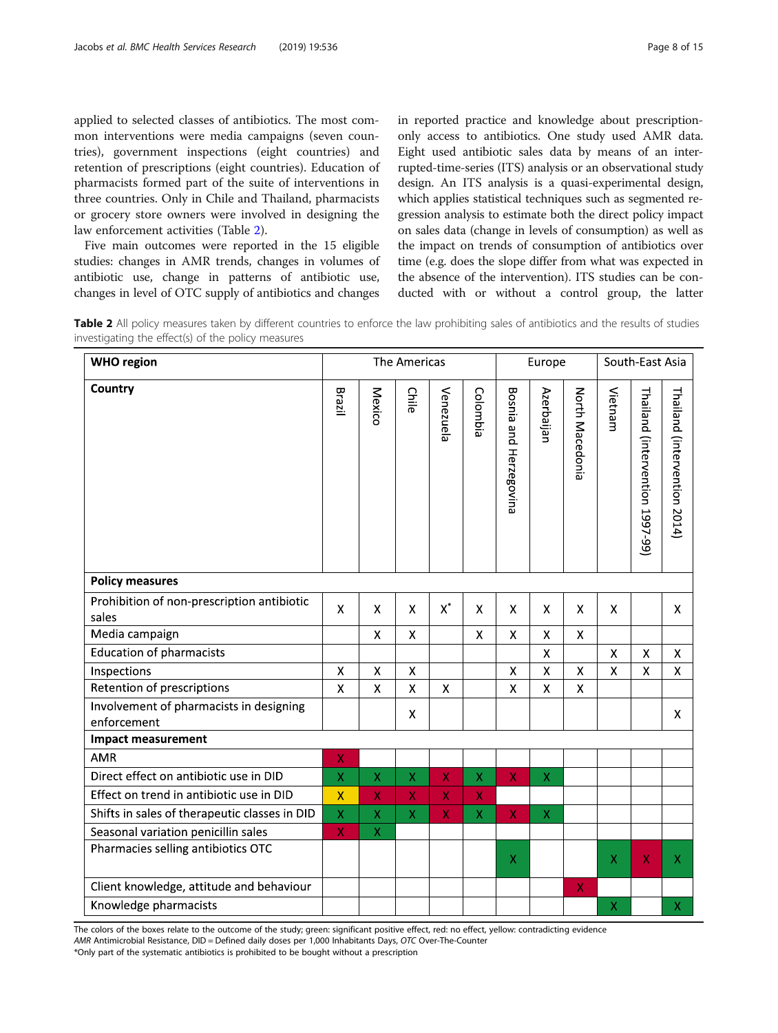<span id="page-7-0"></span>applied to selected classes of antibiotics. The most common interventions were media campaigns (seven countries), government inspections (eight countries) and retention of prescriptions (eight countries). Education of pharmacists formed part of the suite of interventions in three countries. Only in Chile and Thailand, pharmacists or grocery store owners were involved in designing the law enforcement activities (Table 2).

Five main outcomes were reported in the 15 eligible studies: changes in AMR trends, changes in volumes of antibiotic use, change in patterns of antibiotic use, changes in level of OTC supply of antibiotics and changes in reported practice and knowledge about prescriptiononly access to antibiotics. One study used AMR data. Eight used antibiotic sales data by means of an interrupted-time-series (ITS) analysis or an observational study design. An ITS analysis is a quasi-experimental design, which applies statistical techniques such as segmented regression analysis to estimate both the direct policy impact on sales data (change in levels of consumption) as well as the impact on trends of consumption of antibiotics over time (e.g. does the slope differ from what was expected in the absence of the intervention). ITS studies can be conducted with or without a control group, the latter

Table 2 All policy measures taken by different countries to enforce the law prohibiting sales of antibiotics and the results of studies investigating the effect(s) of the policy measures

| <b>WHO</b> region                                      |                    |             | The Americas |                    |                    |                        | Europe      |                    | South-East Asia |                                 |                              |
|--------------------------------------------------------|--------------------|-------------|--------------|--------------------|--------------------|------------------------|-------------|--------------------|-----------------|---------------------------------|------------------------------|
| Country                                                | Brazil             | Mexico      | Chile        | Venezuela          | Colombia           | Bosnia and Herzegovina | Azerbaijan  | North Macedonia    | Vietnam         | Thailand (intervention 1997-99) | Thailand (intervention 2014) |
| <b>Policy measures</b>                                 |                    |             |              |                    |                    |                        |             |                    |                 |                                 |                              |
| Prohibition of non-prescription antibiotic<br>sales    | $\mathsf{X}$       | X           | X            | $\mathsf{X}^*$     | X                  | X                      | X           | X                  | X               |                                 | X                            |
| Media campaign                                         |                    | X           | X            |                    | $\mathsf{X}$       | $\mathsf{X}$           | X           | $\mathsf{X}$       |                 |                                 |                              |
| <b>Education of pharmacists</b>                        |                    |             |              |                    |                    |                        | X           |                    | X               | $\pmb{\mathsf{X}}$              | X                            |
| Inspections                                            | X                  | X           | X            |                    |                    | $\pmb{\mathsf{X}}$     | X           | $\pmb{\mathsf{X}}$ | $\mathsf{X}$    | $\pmb{\mathsf{X}}$              | X                            |
| Retention of prescriptions                             | X                  | X           | X            | X                  |                    | $\pmb{\mathsf{X}}$     | X           | $\pmb{\mathsf{X}}$ |                 |                                 |                              |
| Involvement of pharmacists in designing<br>enforcement |                    |             | X            |                    |                    |                        |             |                    |                 |                                 | X                            |
| <b>Impact measurement</b>                              |                    |             |              |                    |                    |                        |             |                    |                 |                                 |                              |
| <b>AMR</b>                                             | $\pmb{\mathsf{X}}$ |             |              |                    |                    |                        |             |                    |                 |                                 |                              |
| Direct effect on antibiotic use in DID                 | $\mathsf X$        | X           | X            | X                  | $\mathsf X$        | $\pmb{\mathsf{X}}$     | $\mathsf X$ |                    |                 |                                 |                              |
| Effect on trend in antibiotic use in DID               | $\pmb{\mathsf{X}}$ | X           | X            | $\pmb{\mathsf{X}}$ | $\pmb{\mathsf{X}}$ |                        |             |                    |                 |                                 |                              |
| Shifts in sales of therapeutic classes in DID          | $\mathsf X$        | X           | X            | $\pmb{\mathsf{X}}$ | $\mathsf X$        | $\mathsf X$            | $\mathsf X$ |                    |                 |                                 |                              |
| Seasonal variation penicillin sales                    | X                  | $\mathsf X$ |              |                    |                    |                        |             |                    |                 |                                 |                              |
| Pharmacies selling antibiotics OTC                     |                    |             |              |                    |                    | X                      |             |                    | X               | X                               | X                            |
| Client knowledge, attitude and behaviour               |                    |             |              |                    |                    |                        |             | X                  |                 |                                 |                              |
| Knowledge pharmacists                                  |                    |             |              |                    |                    |                        |             |                    | $\mathsf X$     |                                 | Χ                            |

The colors of the boxes relate to the outcome of the study; green: significant positive effect, red: no effect, yellow: contradicting evidence AMR Antimicrobial Resistance, DID = Defined daily doses per 1,000 Inhabitants Days, OTC Over-The-Counter

\*Only part of the systematic antibiotics is prohibited to be bought without a prescription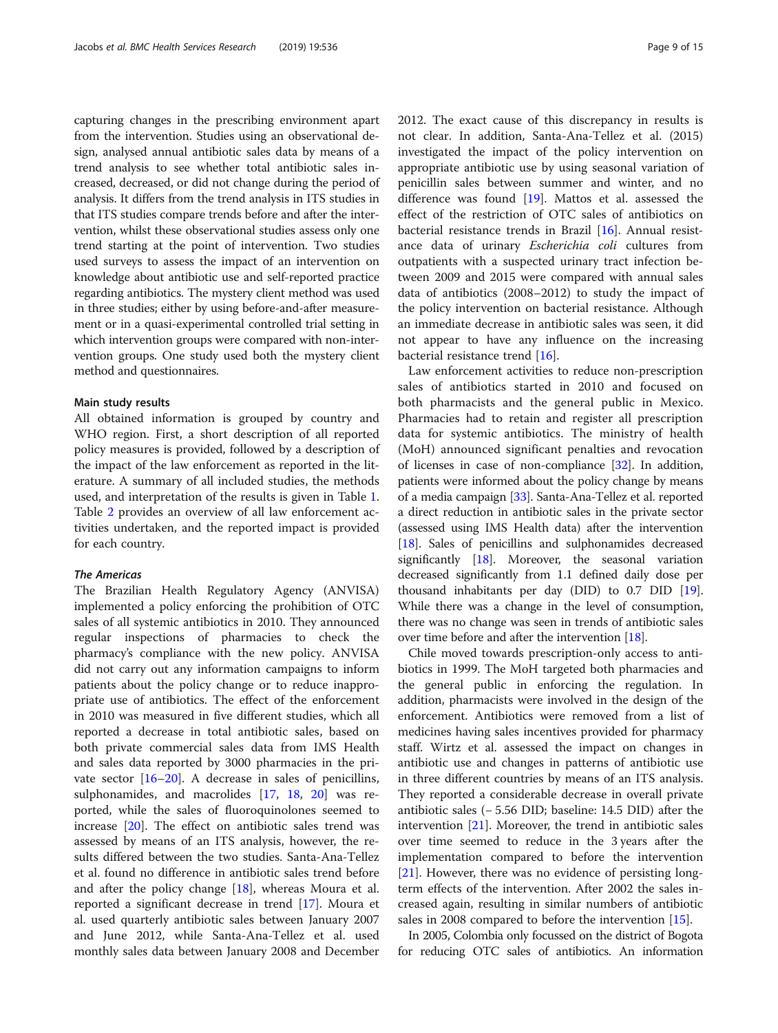capturing changes in the prescribing environment apart from the intervention. Studies using an observational design, analysed annual antibiotic sales data by means of a trend analysis to see whether total antibiotic sales increased, decreased, or did not change during the period of analysis. It differs from the trend analysis in ITS studies in that ITS studies compare trends before and after the intervention, whilst these observational studies assess only one trend starting at the point of intervention. Two studies used surveys to assess the impact of an intervention on knowledge about antibiotic use and self-reported practice regarding antibiotics. The mystery client method was used in three studies; either by using before-and-after measurement or in a quasi-experimental controlled trial setting in which intervention groups were compared with non-intervention groups. One study used both the mystery client method and questionnaires.

#### Main study results

All obtained information is grouped by country and WHO region. First, a short description of all reported policy measures is provided, followed by a description of the impact of the law enforcement as reported in the literature. A summary of all included studies, the methods used, and interpretation of the results is given in Table [1](#page-3-0). Table [2](#page-7-0) provides an overview of all law enforcement activities undertaken, and the reported impact is provided for each country.

#### The Americas

The Brazilian Health Regulatory Agency (ANVISA) implemented a policy enforcing the prohibition of OTC sales of all systemic antibiotics in 2010. They announced regular inspections of pharmacies to check the pharmacy's compliance with the new policy. ANVISA did not carry out any information campaigns to inform patients about the policy change or to reduce inappropriate use of antibiotics. The effect of the enforcement in 2010 was measured in five different studies, which all reported a decrease in total antibiotic sales, based on both private commercial sales data from IMS Health and sales data reported by 3000 pharmacies in the private sector  $[16–20]$  $[16–20]$  $[16–20]$  $[16–20]$  $[16–20]$ . A decrease in sales of penicillins, sulphonamides, and macrolides [[17](#page-14-0), [18,](#page-14-0) [20\]](#page-14-0) was reported, while the sales of fluoroquinolones seemed to increase [[20\]](#page-14-0). The effect on antibiotic sales trend was assessed by means of an ITS analysis, however, the results differed between the two studies. Santa-Ana-Tellez et al. found no difference in antibiotic sales trend before and after the policy change [[18\]](#page-14-0), whereas Moura et al. reported a significant decrease in trend [[17](#page-14-0)]. Moura et al. used quarterly antibiotic sales between January 2007 and June 2012, while Santa-Ana-Tellez et al. used monthly sales data between January 2008 and December 2012. The exact cause of this discrepancy in results is not clear. In addition, Santa-Ana-Tellez et al. (2015) investigated the impact of the policy intervention on appropriate antibiotic use by using seasonal variation of penicillin sales between summer and winter, and no difference was found [[19\]](#page-14-0). Mattos et al. assessed the effect of the restriction of OTC sales of antibiotics on bacterial resistance trends in Brazil [\[16](#page-14-0)]. Annual resistance data of urinary Escherichia coli cultures from outpatients with a suspected urinary tract infection between 2009 and 2015 were compared with annual sales data of antibiotics (2008–2012) to study the impact of the policy intervention on bacterial resistance. Although an immediate decrease in antibiotic sales was seen, it did not appear to have any influence on the increasing bacterial resistance trend [\[16](#page-14-0)].

Law enforcement activities to reduce non-prescription sales of antibiotics started in 2010 and focused on both pharmacists and the general public in Mexico. Pharmacies had to retain and register all prescription data for systemic antibiotics. The ministry of health (MoH) announced significant penalties and revocation of licenses in case of non-compliance [\[32\]](#page-14-0). In addition, patients were informed about the policy change by means of a media campaign [\[33](#page-14-0)]. Santa-Ana-Tellez et al. reported a direct reduction in antibiotic sales in the private sector (assessed using IMS Health data) after the intervention [[18](#page-14-0)]. Sales of penicillins and sulphonamides decreased significantly [[18](#page-14-0)]. Moreover, the seasonal variation decreased significantly from 1.1 defined daily dose per thousand inhabitants per day (DID) to 0.7 DID [[19](#page-14-0)]. While there was a change in the level of consumption, there was no change was seen in trends of antibiotic sales over time before and after the intervention [\[18\]](#page-14-0).

Chile moved towards prescription-only access to antibiotics in 1999. The MoH targeted both pharmacies and the general public in enforcing the regulation. In addition, pharmacists were involved in the design of the enforcement. Antibiotics were removed from a list of medicines having sales incentives provided for pharmacy staff. Wirtz et al. assessed the impact on changes in antibiotic use and changes in patterns of antibiotic use in three different countries by means of an ITS analysis. They reported a considerable decrease in overall private antibiotic sales (− 5.56 DID; baseline: 14.5 DID) after the intervention [\[21](#page-14-0)]. Moreover, the trend in antibiotic sales over time seemed to reduce in the 3 years after the implementation compared to before the intervention [[21\]](#page-14-0). However, there was no evidence of persisting longterm effects of the intervention. After 2002 the sales increased again, resulting in similar numbers of antibiotic sales in 2008 compared to before the intervention [\[15](#page-14-0)].

In 2005, Colombia only focussed on the district of Bogota for reducing OTC sales of antibiotics. An information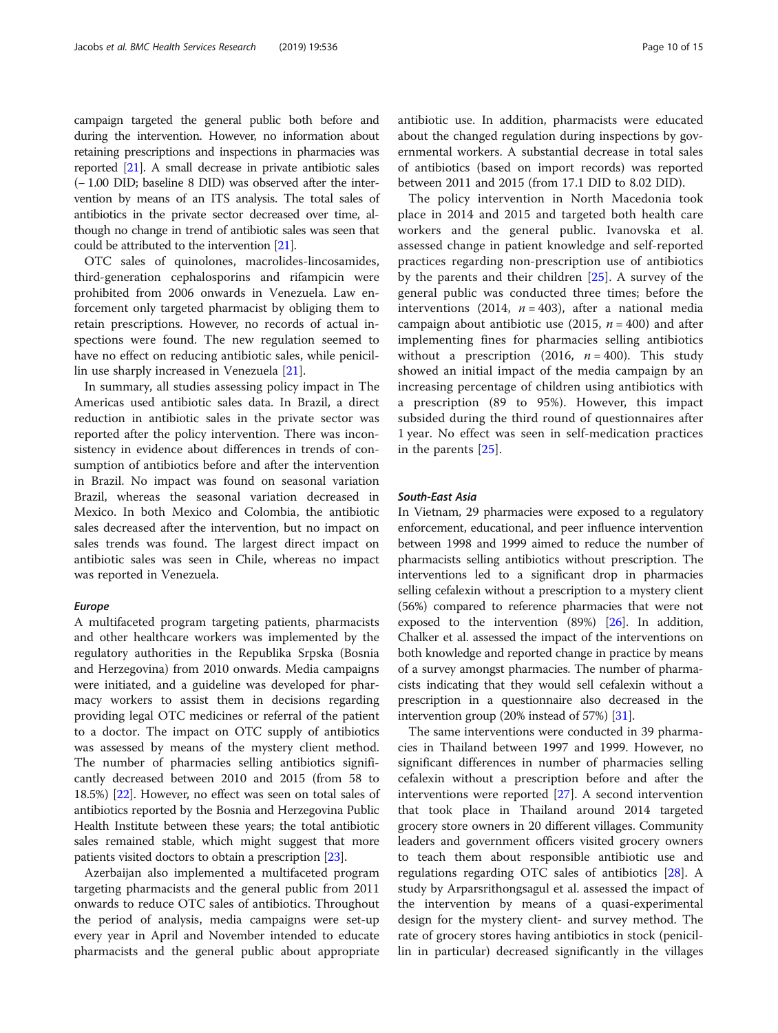campaign targeted the general public both before and during the intervention. However, no information about retaining prescriptions and inspections in pharmacies was reported [\[21\]](#page-14-0). A small decrease in private antibiotic sales (− 1.00 DID; baseline 8 DID) was observed after the intervention by means of an ITS analysis. The total sales of antibiotics in the private sector decreased over time, although no change in trend of antibiotic sales was seen that could be attributed to the intervention [[21](#page-14-0)].

OTC sales of quinolones, macrolides-lincosamides, third-generation cephalosporins and rifampicin were prohibited from 2006 onwards in Venezuela. Law enforcement only targeted pharmacist by obliging them to retain prescriptions. However, no records of actual inspections were found. The new regulation seemed to have no effect on reducing antibiotic sales, while penicillin use sharply increased in Venezuela [\[21\]](#page-14-0).

In summary, all studies assessing policy impact in The Americas used antibiotic sales data. In Brazil, a direct reduction in antibiotic sales in the private sector was reported after the policy intervention. There was inconsistency in evidence about differences in trends of consumption of antibiotics before and after the intervention in Brazil. No impact was found on seasonal variation Brazil, whereas the seasonal variation decreased in Mexico. In both Mexico and Colombia, the antibiotic sales decreased after the intervention, but no impact on sales trends was found. The largest direct impact on antibiotic sales was seen in Chile, whereas no impact was reported in Venezuela.

#### Europe

A multifaceted program targeting patients, pharmacists and other healthcare workers was implemented by the regulatory authorities in the Republika Srpska (Bosnia and Herzegovina) from 2010 onwards. Media campaigns were initiated, and a guideline was developed for pharmacy workers to assist them in decisions regarding providing legal OTC medicines or referral of the patient to a doctor. The impact on OTC supply of antibiotics was assessed by means of the mystery client method. The number of pharmacies selling antibiotics significantly decreased between 2010 and 2015 (from 58 to 18.5%) [\[22](#page-14-0)]. However, no effect was seen on total sales of antibiotics reported by the Bosnia and Herzegovina Public Health Institute between these years; the total antibiotic sales remained stable, which might suggest that more patients visited doctors to obtain a prescription [\[23\]](#page-14-0).

Azerbaijan also implemented a multifaceted program targeting pharmacists and the general public from 2011 onwards to reduce OTC sales of antibiotics. Throughout the period of analysis, media campaigns were set-up every year in April and November intended to educate pharmacists and the general public about appropriate antibiotic use. In addition, pharmacists were educated about the changed regulation during inspections by governmental workers. A substantial decrease in total sales of antibiotics (based on import records) was reported between 2011 and 2015 (from 17.1 DID to 8.02 DID).

The policy intervention in North Macedonia took place in 2014 and 2015 and targeted both health care workers and the general public. Ivanovska et al. assessed change in patient knowledge and self-reported practices regarding non-prescription use of antibiotics by the parents and their children [[25\]](#page-14-0). A survey of the general public was conducted three times; before the interventions (2014,  $n = 403$ ), after a national media campaign about antibiotic use (2015,  $n = 400$ ) and after implementing fines for pharmacies selling antibiotics without a prescription (2016,  $n = 400$ ). This study showed an initial impact of the media campaign by an increasing percentage of children using antibiotics with a prescription (89 to 95%). However, this impact subsided during the third round of questionnaires after 1 year. No effect was seen in self-medication practices in the parents [[25\]](#page-14-0).

### South-East Asia

In Vietnam, 29 pharmacies were exposed to a regulatory enforcement, educational, and peer influence intervention between 1998 and 1999 aimed to reduce the number of pharmacists selling antibiotics without prescription. The interventions led to a significant drop in pharmacies selling cefalexin without a prescription to a mystery client (56%) compared to reference pharmacies that were not exposed to the intervention (89%) [[26](#page-14-0)]. In addition, Chalker et al. assessed the impact of the interventions on both knowledge and reported change in practice by means of a survey amongst pharmacies. The number of pharmacists indicating that they would sell cefalexin without a prescription in a questionnaire also decreased in the intervention group (20% instead of 57%) [\[31\]](#page-14-0).

The same interventions were conducted in 39 pharmacies in Thailand between 1997 and 1999. However, no significant differences in number of pharmacies selling cefalexin without a prescription before and after the interventions were reported [[27\]](#page-14-0). A second intervention that took place in Thailand around 2014 targeted grocery store owners in 20 different villages. Community leaders and government officers visited grocery owners to teach them about responsible antibiotic use and regulations regarding OTC sales of antibiotics [\[28](#page-14-0)]. A study by Arparsrithongsagul et al. assessed the impact of the intervention by means of a quasi-experimental design for the mystery client- and survey method. The rate of grocery stores having antibiotics in stock (penicillin in particular) decreased significantly in the villages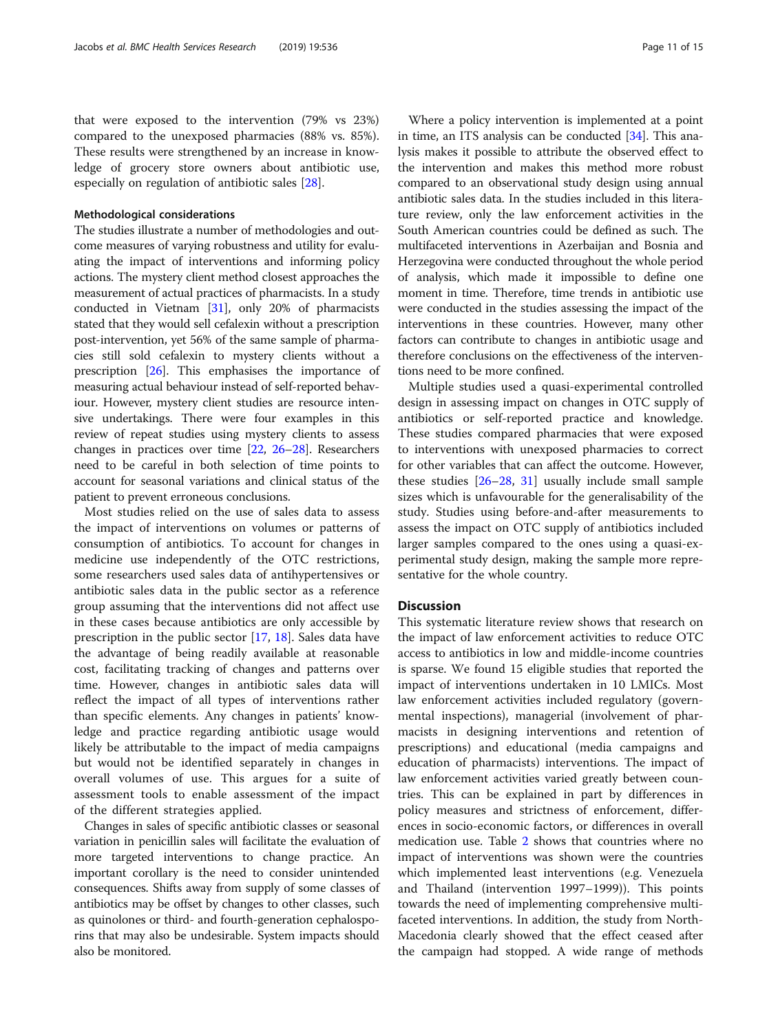that were exposed to the intervention (79% vs 23%) compared to the unexposed pharmacies (88% vs. 85%). These results were strengthened by an increase in knowledge of grocery store owners about antibiotic use, especially on regulation of antibiotic sales [\[28](#page-14-0)].

#### Methodological considerations

The studies illustrate a number of methodologies and outcome measures of varying robustness and utility for evaluating the impact of interventions and informing policy actions. The mystery client method closest approaches the measurement of actual practices of pharmacists. In a study conducted in Vietnam [\[31\]](#page-14-0), only 20% of pharmacists stated that they would sell cefalexin without a prescription post-intervention, yet 56% of the same sample of pharmacies still sold cefalexin to mystery clients without a prescription [\[26](#page-14-0)]. This emphasises the importance of measuring actual behaviour instead of self-reported behaviour. However, mystery client studies are resource intensive undertakings. There were four examples in this review of repeat studies using mystery clients to assess changes in practices over time [\[22,](#page-14-0) [26](#page-14-0)–[28\]](#page-14-0). Researchers need to be careful in both selection of time points to account for seasonal variations and clinical status of the patient to prevent erroneous conclusions.

Most studies relied on the use of sales data to assess the impact of interventions on volumes or patterns of consumption of antibiotics. To account for changes in medicine use independently of the OTC restrictions, some researchers used sales data of antihypertensives or antibiotic sales data in the public sector as a reference group assuming that the interventions did not affect use in these cases because antibiotics are only accessible by prescription in the public sector [\[17](#page-14-0), [18](#page-14-0)]. Sales data have the advantage of being readily available at reasonable cost, facilitating tracking of changes and patterns over time. However, changes in antibiotic sales data will reflect the impact of all types of interventions rather than specific elements. Any changes in patients' knowledge and practice regarding antibiotic usage would likely be attributable to the impact of media campaigns but would not be identified separately in changes in overall volumes of use. This argues for a suite of assessment tools to enable assessment of the impact of the different strategies applied.

Changes in sales of specific antibiotic classes or seasonal variation in penicillin sales will facilitate the evaluation of more targeted interventions to change practice. An important corollary is the need to consider unintended consequences. Shifts away from supply of some classes of antibiotics may be offset by changes to other classes, such as quinolones or third- and fourth-generation cephalosporins that may also be undesirable. System impacts should also be monitored.

Where a policy intervention is implemented at a point in time, an ITS analysis can be conducted [\[34\]](#page-14-0). This analysis makes it possible to attribute the observed effect to the intervention and makes this method more robust compared to an observational study design using annual antibiotic sales data. In the studies included in this literature review, only the law enforcement activities in the South American countries could be defined as such. The multifaceted interventions in Azerbaijan and Bosnia and Herzegovina were conducted throughout the whole period of analysis, which made it impossible to define one moment in time. Therefore, time trends in antibiotic use were conducted in the studies assessing the impact of the interventions in these countries. However, many other factors can contribute to changes in antibiotic usage and therefore conclusions on the effectiveness of the interventions need to be more confined.

Multiple studies used a quasi-experimental controlled design in assessing impact on changes in OTC supply of antibiotics or self-reported practice and knowledge. These studies compared pharmacies that were exposed to interventions with unexposed pharmacies to correct for other variables that can affect the outcome. However, these studies [\[26](#page-14-0)–[28](#page-14-0), [31\]](#page-14-0) usually include small sample sizes which is unfavourable for the generalisability of the study. Studies using before-and-after measurements to assess the impact on OTC supply of antibiotics included larger samples compared to the ones using a quasi-experimental study design, making the sample more representative for the whole country.

# **Discussion**

This systematic literature review shows that research on the impact of law enforcement activities to reduce OTC access to antibiotics in low and middle-income countries is sparse. We found 15 eligible studies that reported the impact of interventions undertaken in 10 LMICs. Most law enforcement activities included regulatory (governmental inspections), managerial (involvement of pharmacists in designing interventions and retention of prescriptions) and educational (media campaigns and education of pharmacists) interventions. The impact of law enforcement activities varied greatly between countries. This can be explained in part by differences in policy measures and strictness of enforcement, differences in socio-economic factors, or differences in overall medication use. Table [2](#page-7-0) shows that countries where no impact of interventions was shown were the countries which implemented least interventions (e.g. Venezuela and Thailand (intervention 1997–1999)). This points towards the need of implementing comprehensive multifaceted interventions. In addition, the study from North-Macedonia clearly showed that the effect ceased after the campaign had stopped. A wide range of methods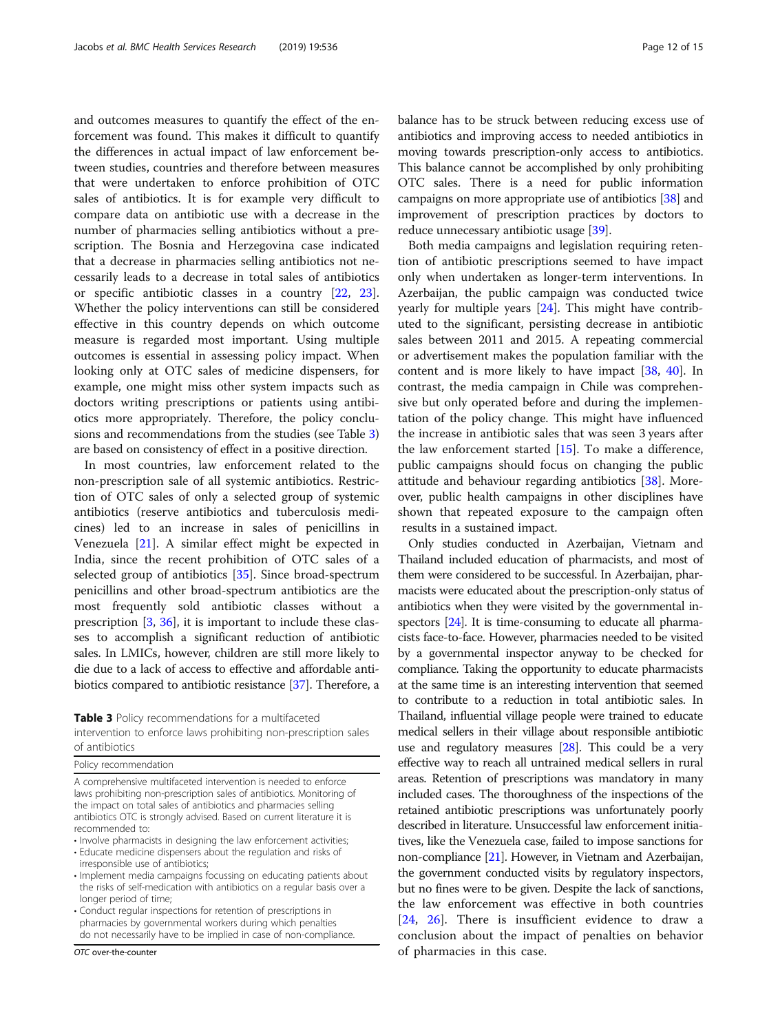and outcomes measures to quantify the effect of the enforcement was found. This makes it difficult to quantify the differences in actual impact of law enforcement between studies, countries and therefore between measures that were undertaken to enforce prohibition of OTC sales of antibiotics. It is for example very difficult to compare data on antibiotic use with a decrease in the number of pharmacies selling antibiotics without a prescription. The Bosnia and Herzegovina case indicated that a decrease in pharmacies selling antibiotics not necessarily leads to a decrease in total sales of antibiotics or specific antibiotic classes in a country [[22](#page-14-0), [23](#page-14-0)]. Whether the policy interventions can still be considered effective in this country depends on which outcome measure is regarded most important. Using multiple outcomes is essential in assessing policy impact. When looking only at OTC sales of medicine dispensers, for example, one might miss other system impacts such as doctors writing prescriptions or patients using antibiotics more appropriately. Therefore, the policy conclusions and recommendations from the studies (see Table 3) are based on consistency of effect in a positive direction.

In most countries, law enforcement related to the non-prescription sale of all systemic antibiotics. Restriction of OTC sales of only a selected group of systemic antibiotics (reserve antibiotics and tuberculosis medicines) led to an increase in sales of penicillins in Venezuela [[21\]](#page-14-0). A similar effect might be expected in India, since the recent prohibition of OTC sales of a selected group of antibiotics [\[35\]](#page-14-0). Since broad-spectrum penicillins and other broad-spectrum antibiotics are the most frequently sold antibiotic classes without a prescription [\[3](#page-13-0), [36](#page-14-0)], it is important to include these classes to accomplish a significant reduction of antibiotic sales. In LMICs, however, children are still more likely to die due to a lack of access to effective and affordable antibiotics compared to antibiotic resistance [\[37\]](#page-14-0). Therefore, a

Table 3 Policy recommendations for a multifaceted intervention to enforce laws prohibiting non-prescription sales of antibiotics

|  | Policy recommendation |
|--|-----------------------|
|--|-----------------------|

A comprehensive multifaceted intervention is needed to enforce laws prohibiting non-prescription sales of antibiotics. Monitoring of the impact on total sales of antibiotics and pharmacies selling antibiotics OTC is strongly advised. Based on current literature it is recommended to:

• Involve pharmacists in designing the law enforcement activities;

• Educate medicine dispensers about the regulation and risks of irresponsible use of antibiotics;

- Implement media campaigns focussing on educating patients about the risks of self-medication with antibiotics on a regular basis over a longer period of time;
- Conduct regular inspections for retention of prescriptions in pharmacies by governmental workers during which penalties do not necessarily have to be implied in case of non-compliance.

OTC over-the-counter

balance has to be struck between reducing excess use of antibiotics and improving access to needed antibiotics in moving towards prescription-only access to antibiotics. This balance cannot be accomplished by only prohibiting OTC sales. There is a need for public information campaigns on more appropriate use of antibiotics [\[38\]](#page-14-0) and improvement of prescription practices by doctors to reduce unnecessary antibiotic usage [\[39](#page-14-0)].

Both media campaigns and legislation requiring retention of antibiotic prescriptions seemed to have impact only when undertaken as longer-term interventions. In Azerbaijan, the public campaign was conducted twice yearly for multiple years [[24\]](#page-14-0). This might have contributed to the significant, persisting decrease in antibiotic sales between 2011 and 2015. A repeating commercial or advertisement makes the population familiar with the content and is more likely to have impact [[38,](#page-14-0) [40](#page-14-0)]. In contrast, the media campaign in Chile was comprehensive but only operated before and during the implementation of the policy change. This might have influenced the increase in antibiotic sales that was seen 3 years after the law enforcement started  $[15]$  $[15]$  $[15]$ . To make a difference, public campaigns should focus on changing the public attitude and behaviour regarding antibiotics [[38\]](#page-14-0). Moreover, public health campaigns in other disciplines have shown that repeated exposure to the campaign often results in a sustained impact.

Only studies conducted in Azerbaijan, Vietnam and Thailand included education of pharmacists, and most of them were considered to be successful. In Azerbaijan, pharmacists were educated about the prescription-only status of antibiotics when they were visited by the governmental inspectors [\[24\]](#page-14-0). It is time-consuming to educate all pharmacists face-to-face. However, pharmacies needed to be visited by a governmental inspector anyway to be checked for compliance. Taking the opportunity to educate pharmacists at the same time is an interesting intervention that seemed to contribute to a reduction in total antibiotic sales. In Thailand, influential village people were trained to educate medical sellers in their village about responsible antibiotic use and regulatory measures [\[28](#page-14-0)]. This could be a very effective way to reach all untrained medical sellers in rural areas. Retention of prescriptions was mandatory in many included cases. The thoroughness of the inspections of the retained antibiotic prescriptions was unfortunately poorly described in literature. Unsuccessful law enforcement initiatives, like the Venezuela case, failed to impose sanctions for non-compliance [\[21](#page-14-0)]. However, in Vietnam and Azerbaijan, the government conducted visits by regulatory inspectors, but no fines were to be given. Despite the lack of sanctions, the law enforcement was effective in both countries [[24,](#page-14-0) [26](#page-14-0)]. There is insufficient evidence to draw a conclusion about the impact of penalties on behavior of pharmacies in this case.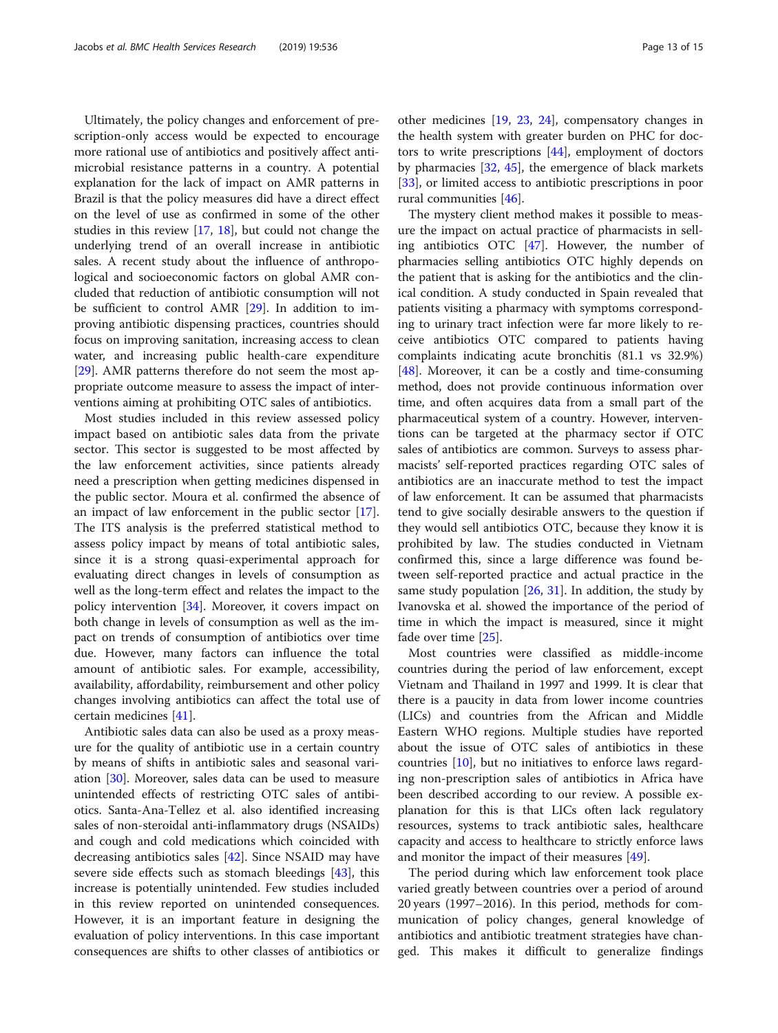Ultimately, the policy changes and enforcement of prescription-only access would be expected to encourage more rational use of antibiotics and positively affect antimicrobial resistance patterns in a country. A potential explanation for the lack of impact on AMR patterns in Brazil is that the policy measures did have a direct effect on the level of use as confirmed in some of the other studies in this review [\[17](#page-14-0), [18](#page-14-0)], but could not change the underlying trend of an overall increase in antibiotic sales. A recent study about the influence of anthropological and socioeconomic factors on global AMR concluded that reduction of antibiotic consumption will not be sufficient to control AMR [\[29\]](#page-14-0). In addition to improving antibiotic dispensing practices, countries should focus on improving sanitation, increasing access to clean water, and increasing public health-care expenditure [[29\]](#page-14-0). AMR patterns therefore do not seem the most appropriate outcome measure to assess the impact of interventions aiming at prohibiting OTC sales of antibiotics.

Most studies included in this review assessed policy impact based on antibiotic sales data from the private sector. This sector is suggested to be most affected by the law enforcement activities, since patients already need a prescription when getting medicines dispensed in the public sector. Moura et al. confirmed the absence of an impact of law enforcement in the public sector [\[17](#page-14-0)]. The ITS analysis is the preferred statistical method to assess policy impact by means of total antibiotic sales, since it is a strong quasi-experimental approach for evaluating direct changes in levels of consumption as well as the long-term effect and relates the impact to the policy intervention [[34\]](#page-14-0). Moreover, it covers impact on both change in levels of consumption as well as the impact on trends of consumption of antibiotics over time due. However, many factors can influence the total amount of antibiotic sales. For example, accessibility, availability, affordability, reimbursement and other policy changes involving antibiotics can affect the total use of certain medicines [[41\]](#page-14-0).

Antibiotic sales data can also be used as a proxy measure for the quality of antibiotic use in a certain country by means of shifts in antibiotic sales and seasonal variation [\[30\]](#page-14-0). Moreover, sales data can be used to measure unintended effects of restricting OTC sales of antibiotics. Santa-Ana-Tellez et al. also identified increasing sales of non-steroidal anti-inflammatory drugs (NSAIDs) and cough and cold medications which coincided with decreasing antibiotics sales [\[42](#page-14-0)]. Since NSAID may have severe side effects such as stomach bleedings [\[43](#page-14-0)], this increase is potentially unintended. Few studies included in this review reported on unintended consequences. However, it is an important feature in designing the evaluation of policy interventions. In this case important consequences are shifts to other classes of antibiotics or

other medicines [\[19](#page-14-0), [23,](#page-14-0) [24](#page-14-0)], compensatory changes in the health system with greater burden on PHC for doctors to write prescriptions [[44\]](#page-14-0), employment of doctors by pharmacies [[32,](#page-14-0) [45](#page-14-0)], the emergence of black markets [[33\]](#page-14-0), or limited access to antibiotic prescriptions in poor rural communities [\[46](#page-14-0)].

The mystery client method makes it possible to measure the impact on actual practice of pharmacists in selling antibiotics OTC [\[47](#page-14-0)]. However, the number of pharmacies selling antibiotics OTC highly depends on the patient that is asking for the antibiotics and the clinical condition. A study conducted in Spain revealed that patients visiting a pharmacy with symptoms corresponding to urinary tract infection were far more likely to receive antibiotics OTC compared to patients having complaints indicating acute bronchitis (81.1 vs 32.9%) [[48\]](#page-14-0). Moreover, it can be a costly and time-consuming method, does not provide continuous information over time, and often acquires data from a small part of the pharmaceutical system of a country. However, interventions can be targeted at the pharmacy sector if OTC sales of antibiotics are common. Surveys to assess pharmacists' self-reported practices regarding OTC sales of antibiotics are an inaccurate method to test the impact of law enforcement. It can be assumed that pharmacists tend to give socially desirable answers to the question if they would sell antibiotics OTC, because they know it is prohibited by law. The studies conducted in Vietnam confirmed this, since a large difference was found between self-reported practice and actual practice in the same study population [[26,](#page-14-0) [31\]](#page-14-0). In addition, the study by Ivanovska et al. showed the importance of the period of time in which the impact is measured, since it might fade over time [[25](#page-14-0)].

Most countries were classified as middle-income countries during the period of law enforcement, except Vietnam and Thailand in 1997 and 1999. It is clear that there is a paucity in data from lower income countries (LICs) and countries from the African and Middle Eastern WHO regions. Multiple studies have reported about the issue of OTC sales of antibiotics in these countries [\[10](#page-14-0)], but no initiatives to enforce laws regarding non-prescription sales of antibiotics in Africa have been described according to our review. A possible explanation for this is that LICs often lack regulatory resources, systems to track antibiotic sales, healthcare capacity and access to healthcare to strictly enforce laws and monitor the impact of their measures [[49](#page-14-0)].

The period during which law enforcement took place varied greatly between countries over a period of around 20 years (1997–2016). In this period, methods for communication of policy changes, general knowledge of antibiotics and antibiotic treatment strategies have changed. This makes it difficult to generalize findings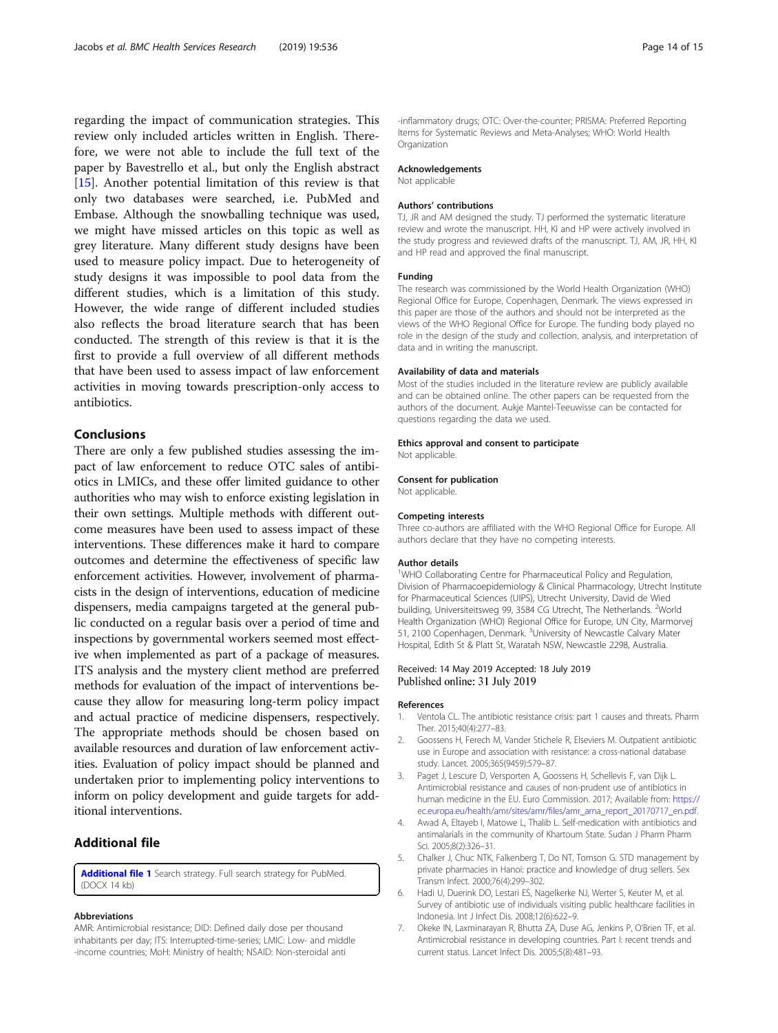<span id="page-13-0"></span>regarding the impact of communication strategies. This review only included articles written in English. Therefore, we were not able to include the full text of the paper by Bavestrello et al., but only the English abstract [[15\]](#page-14-0). Another potential limitation of this review is that only two databases were searched, i.e. PubMed and Embase. Although the snowballing technique was used, we might have missed articles on this topic as well as grey literature. Many different study designs have been used to measure policy impact. Due to heterogeneity of study designs it was impossible to pool data from the different studies, which is a limitation of this study. However, the wide range of different included studies also reflects the broad literature search that has been conducted. The strength of this review is that it is the first to provide a full overview of all different methods that have been used to assess impact of law enforcement activities in moving towards prescription-only access to antibiotics.

## Conclusions

There are only a few published studies assessing the impact of law enforcement to reduce OTC sales of antibiotics in LMICs, and these offer limited guidance to other authorities who may wish to enforce existing legislation in their own settings. Multiple methods with different outcome measures have been used to assess impact of these interventions. These differences make it hard to compare outcomes and determine the effectiveness of specific law enforcement activities. However, involvement of pharmacists in the design of interventions, education of medicine dispensers, media campaigns targeted at the general public conducted on a regular basis over a period of time and inspections by governmental workers seemed most effective when implemented as part of a package of measures. ITS analysis and the mystery client method are preferred methods for evaluation of the impact of interventions because they allow for measuring long-term policy impact and actual practice of medicine dispensers, respectively. The appropriate methods should be chosen based on available resources and duration of law enforcement activities. Evaluation of policy impact should be planned and undertaken prior to implementing policy interventions to inform on policy development and guide targets for additional interventions.

# Additional file

[Additional file 1](https://doi.org/10.1186/s12913-019-4359-8) Search strategy. Full search strategy for PubMed. (DOCX 14 kb)

#### Abbreviations

AMR: Antimicrobial resistance; DID: Defined daily dose per thousand inhabitants per day; ITS: Interrupted-time-series; LMIC: Low- and middle -income countries; MoH: Ministry of health; NSAID: Non-steroidal anti

-inflammatory drugs; OTC: Over-the-counter; PRISMA: Preferred Reporting Items for Systematic Reviews and Meta-Analyses; WHO: World Health **Organization** 

#### Acknowledgements

Not applicable

#### Authors' contributions

TJ, JR and AM designed the study. TJ performed the systematic literature review and wrote the manuscript. HH, KI and HP were actively involved in the study progress and reviewed drafts of the manuscript. TJ, AM, JR, HH, KI and HP read and approved the final manuscript.

#### Funding

The research was commissioned by the World Health Organization (WHO) Regional Office for Europe, Copenhagen, Denmark. The views expressed in this paper are those of the authors and should not be interpreted as the views of the WHO Regional Office for Europe. The funding body played no role in the design of the study and collection, analysis, and interpretation of data and in writing the manuscript.

#### Availability of data and materials

Most of the studies included in the literature review are publicly available and can be obtained online. The other papers can be requested from the authors of the document. Aukje Mantel-Teeuwisse can be contacted for questions regarding the data we used.

#### Ethics approval and consent to participate

Not applicable.

# Consent for publication

Not applicable.

#### Competing interests

Three co-authors are affiliated with the WHO Regional Office for Europe. All authors declare that they have no competing interests.

#### Author details

<sup>1</sup>WHO Collaborating Centre for Pharmaceutical Policy and Regulation Division of Pharmacoepidemiology & Clinical Pharmacology, Utrecht Institute for Pharmaceutical Sciences (UIPS), Utrecht University, David de Wied building, Universiteitsweg 99, 3584 CG Utrecht, The Netherlands. <sup>2</sup>World Health Organization (WHO) Regional Office for Europe, UN City, Marmorvej 51, 2100 Copenhagen, Denmark. <sup>3</sup>University of Newcastle Calvary Mater Hospital, Edith St & Platt St, Waratah NSW, Newcastle 2298, Australia.

#### Received: 14 May 2019 Accepted: 18 July 2019 Published online: 31 July 2019

#### References

- 1. Ventola CL. The antibiotic resistance crisis: part 1 causes and threats. Pharm Ther. 2015;40(4):277–83.
- 2. Goossens H, Ferech M, Vander Stichele R, Elseviers M. Outpatient antibiotic use in Europe and association with resistance: a cross-national database study. Lancet. 2005;365(9459):579–87.
- 3. Paget J, Lescure D, Versporten A, Goossens H, Schellevis F, van Dijk L. Antimicrobial resistance and causes of non-prudent use of antibiotics in human medicine in the EU. Euro Commission. 2017; Available from: [https://](https://ec.europa.eu/health/amr/sites/amr/files/amr_arna_report_20170717_en.pdf) [ec.europa.eu/health/amr/sites/amr/files/amr\\_arna\\_report\\_20170717\\_en.pdf.](https://ec.europa.eu/health/amr/sites/amr/files/amr_arna_report_20170717_en.pdf)
- 4. Awad A, Eltayeb I, Matowe L, Thalib L. Self-medication with antibiotics and antimalarials in the community of Khartoum State. Sudan J Pharm Pharm Sci. 2005;8(2):326–31.
- 5. Chalker J, Chuc NTK, Falkenberg T, Do NT, Tomson G. STD management by private pharmacies in Hanoi: practice and knowledge of drug sellers. Sex Transm Infect. 2000;76(4):299–302.
- 6. Hadi U, Duerink DO, Lestari ES, Nagelkerke NJ, Werter S, Keuter M, et al. Survey of antibiotic use of individuals visiting public healthcare facilities in Indonesia. Int J Infect Dis. 2008;12(6):622–9.
- 7. Okeke IN, Laxminarayan R, Bhutta ZA, Duse AG, Jenkins P, O'Brien TF, et al. Antimicrobial resistance in developing countries. Part I: recent trends and current status. Lancet Infect Dis. 2005;5(8):481–93.